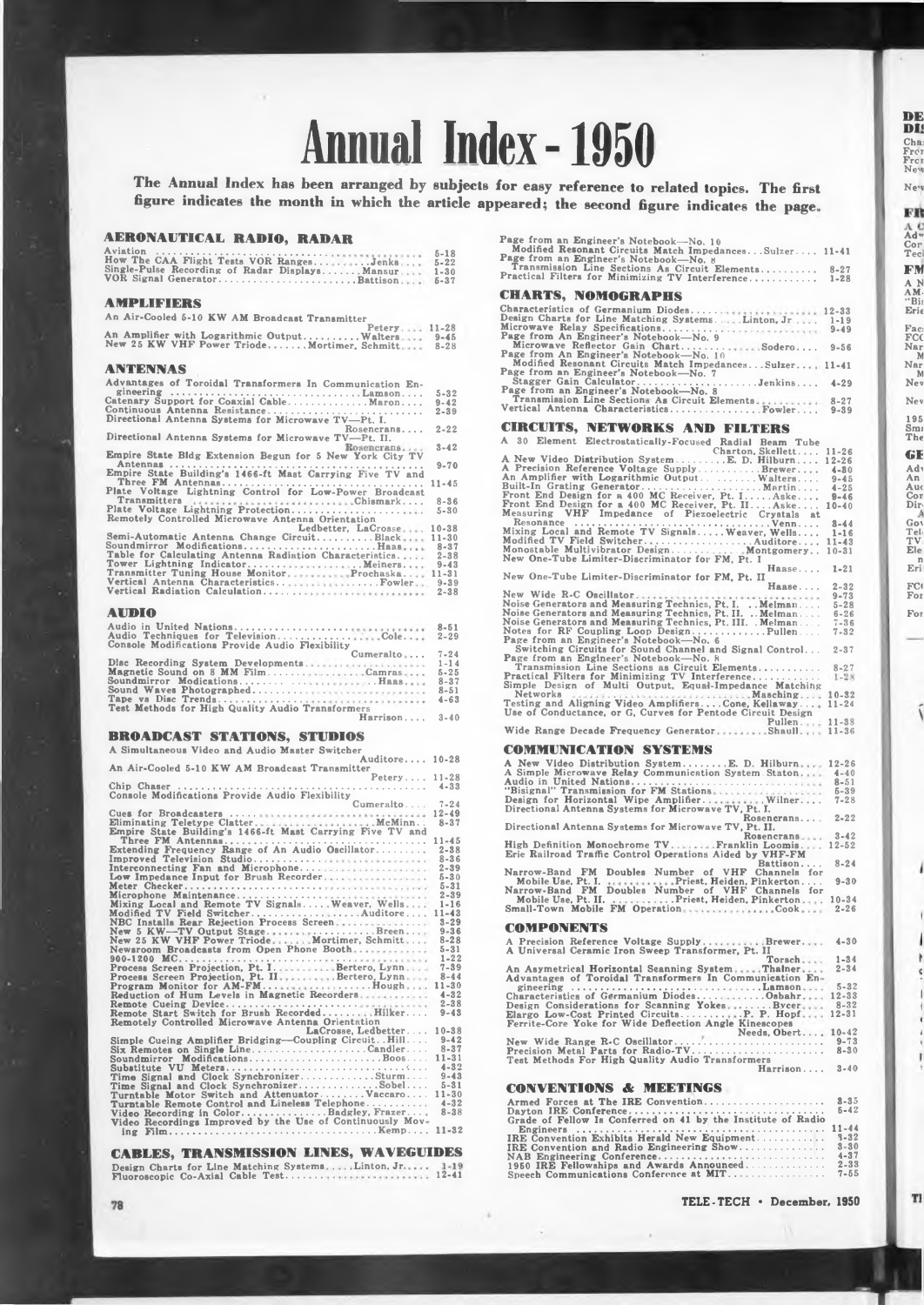# **Annual Index -1950**

**The Annual Index has been arranged by subjects for easy reference to related topics. The first figure indicates the month in which the article appeared; the second figure indicates the page.**

#### **AERONAUTICAL RADIO, RADAR**

| How The CAA Flight Tests VOR RangesJenks<br>Single-Pulse Recording of Radar DisplaysMansur<br>VOR Signal GeneratorBattison | $5 - 18$<br>$5 - 22$<br>$1 - 30$<br>$5 - 37$ |
|----------------------------------------------------------------------------------------------------------------------------|----------------------------------------------|
| <b>AMPLIFIDRS</b>                                                                                                          |                                              |
| An Air-Cooled 5-10 KW AM Broadcast Transmitter                                                                             |                                              |
| Petery 11-28<br>An Amplifier mith Longvithmin Out-ut                                                                       |                                              |

# Petery<br>New 25 KW VHF Power Triode........Walters<br>New 25 KW VHF Power Triode.......Mortimer, Schmitt **11-28 9-45 8-28 ANTENNAS Advantages of Toroidal Transformers In Communication Engineering ......................................................................... Lamson. . . . Catenary Support for Coaxial Cable............................... Maron.... Continuous Antenna Resistance.............................................................. Directional Antenna Systems for Microwave TV—Pt. I. Rosencrans.... Directional Antenna Systems for Microwave TV—Pt. II. Empire State Bldg Extension Begun for <sup>5</sup> New York City TV** Antennas<br>
Empire State Building's 1466-ft Mast Carrying Five TV and<br>
Three FM Antennas.<br>
Plate Voltage Lightning Control for Low-Power Broadcast **5-32 9-42 2-39 2-22 3-42 9-70 11-45 Transmitters Chismark.... Plate Voltage Lightning Protection........................................... Remotely Controlled Microwave Antenna Orientation Ledbetter, LaCrosse Semi-Automatic Antenna Change Circuit......................Black Soundmirror Modifications....................................................Haas Table for Calculating Antenna Radiation Characteristics. 8-36 5-30** Tower Lightning Indicator.......<br>Transmitter Tuning House Monitor<br>Vertical Antenna Characteristics.<br>Vertical Radiation Calculation.... **. . . Meiners. . Prochaska.. ........Fowler 10-38 11-30 8-37 2-38 9-43 11-31 9-39 2-38 AUDIO Audio in United Nations.............................................. Audio Techniques for Television............................. Console Modifications Provide Audio Flexibility Cole. . 8-51 2-29** Disc Recording System Developments<br>Magnetic Sound on 8 MM Film...........<br>Soundmirror Modications.............<br>Sound Waves Photographed..............<br>Tape ys Disc Trends................ **Cumeralto .. . Camras . . . Haas Test Methods for High Quality Audio Transformers Harrison.... 7-24 1-14 5-25 8-37 8-51 4-63 3-40**

# **BROADCAST STATIONS, STUDIOS**

| A Simultaneous Video and Audio Master Switcher                     |                       |
|--------------------------------------------------------------------|-----------------------|
| Auditore 10-28                                                     |                       |
| An Air-Cooled 5-10 KW AM Broadcast Transmitter                     |                       |
| Petery 11-28                                                       |                       |
|                                                                    | $4 - 33$              |
| Console Modifications Provide Audio Flexibility                    |                       |
| Cumeralto                                                          | $7 - 24$              |
|                                                                    | $12 - 49$             |
|                                                                    | $8 - 37$              |
| Empire State Building's 1466-ft Mast Carrying Five TV and          |                       |
|                                                                    | $11 - 45$<br>$2 - 38$ |
| Extending Frequency Range of An Audio Oscillator                   | $8 - 36$              |
| Improved Television Studio<br>Interconnecting Fan and Microphone   | $2 - 39$              |
| Low Impedance Input for Brush Recorder                             | $5 - 30$              |
|                                                                    | $5 - 31$              |
| Microphone Maintenance                                             | $2 - 39$              |
| Mixing Local and Remote TV Signals Weaver, Wells                   | $1 - 16$              |
| Modified TV Field SwitcherAuditore                                 | $11 - 43$             |
| NBC Installs Rear Rejection Process Screen                         | $3 - 29$              |
| New 5 KW-TV Output StageBreen                                      | $9 - 36$              |
| New 25 KW VHF Power TriodeMortimer. Schmitt                        | $8 - 28$              |
| Newsroom Broadcasts from Open Phone Booth                          | $5 - 31$              |
|                                                                    | $1 - 22$              |
| Process Screen Projection, Pt. I. Bertero, Lynn                    | $7 - 39$              |
| Process Screen Projection, Pt. II.  Bertero, Lynn                  | $8 - 44$              |
| Program Monitor for AM-FMBough                                     | $11 - 30$             |
| Reduction of Hum Levels in Magnetic Recorders                      | $4 - 32$              |
| Remote Cueing Device                                               | $2 - 38$              |
| Remote Start Switch for Brush Recorded Hilker                      | $9 - 43$              |
| Remotely Controlled Microwave Antenna Orientation                  |                       |
| LaCrosse. Ledbetter                                                | 10-38<br>$9 - 42$     |
| Simple Cueing Amplifier Bridging--Coupling Circuit. Hill           | $8 - 37$              |
| Six Remotes on Single LineCandler<br>Soundmirror ModificationsBoos | $11 - 31$             |
|                                                                    | $4 - 32$              |
| Time Signal and Clock SynchronizerSturm                            | $9 - 43$              |
| Time Signal and Clock SynchronizerSobel                            | $5 - 31$              |
| Turntable Motor Switch and Attenuator Vaccaro                      | $11 - 30$             |
| Turntable Remote Control and Lineless Telephone                    | $4 - 32$              |
| Video Recording in ColorBadgley, Frazer                            | $8 - 38$              |
| Video Recordings Improved by the Use of Continuously Mov-          |                       |
|                                                                    | $11 - 32$             |
|                                                                    |                       |

# **CABLES, TRANSMISSION LINES, WAVEGUIDES**

|  | Design Charts for Line Matching SystemsLinton, Jr |  |  | $1 - 19$  |
|--|---------------------------------------------------|--|--|-----------|
|  | Fluoroscopic Co-Axial Cable Test                  |  |  | $12 - 41$ |

| Page from an Engineer's Notebook-No. 10                                                                                                                                                                                     |                  |
|-----------------------------------------------------------------------------------------------------------------------------------------------------------------------------------------------------------------------------|------------------|
| Modified Resonant Circuits Match ImpedancesSulzer 11-41                                                                                                                                                                     |                  |
| Page from an Engineer's Notebook-No. 8                                                                                                                                                                                      |                  |
| Transmission Line Sections As Circuit Elements 8-27<br>Practical Filters for Minimizing TV Interference 1-28                                                                                                                |                  |
|                                                                                                                                                                                                                             |                  |
|                                                                                                                                                                                                                             |                  |
|                                                                                                                                                                                                                             |                  |
| CHARTS, NOMOGRAPHS                                                                                                                                                                                                          |                  |
|                                                                                                                                                                                                                             |                  |
| Characteristics of Germanium Diodes 12-33                                                                                                                                                                                   |                  |
|                                                                                                                                                                                                                             |                  |
|                                                                                                                                                                                                                             |                  |
|                                                                                                                                                                                                                             |                  |
|                                                                                                                                                                                                                             |                  |
|                                                                                                                                                                                                                             |                  |
|                                                                                                                                                                                                                             |                  |
| Modified Resonant Circuits Match ImpedancesSulzer 11-41                                                                                                                                                                     |                  |
| Page from an Engineer's Notebook-No. 7                                                                                                                                                                                      |                  |
|                                                                                                                                                                                                                             |                  |
|                                                                                                                                                                                                                             |                  |
|                                                                                                                                                                                                                             |                  |
| Vertical Antenna CharacteristicsFowler                                                                                                                                                                                      | $9 - 39$         |
|                                                                                                                                                                                                                             |                  |
|                                                                                                                                                                                                                             |                  |
| <b>CIRCUITS, NETWORKS AND FILTERS</b>                                                                                                                                                                                       |                  |
| A                                                                                                                                                                                                                           |                  |
| 30<br>Element Electrostatically-Focused Radial Beam Tube                                                                                                                                                                    |                  |
| Charton, Skellett 11-26                                                                                                                                                                                                     |                  |
| A New Video Distribution SystemE. D. Hilburn 12-26                                                                                                                                                                          |                  |
|                                                                                                                                                                                                                             |                  |
|                                                                                                                                                                                                                             |                  |
|                                                                                                                                                                                                                             |                  |
|                                                                                                                                                                                                                             |                  |
|                                                                                                                                                                                                                             |                  |
|                                                                                                                                                                                                                             |                  |
| Measuring VHF Impedance of Piezoelectric Crystals at                                                                                                                                                                        |                  |
|                                                                                                                                                                                                                             | $8 - 44$         |
|                                                                                                                                                                                                                             | $1 - 16$         |
|                                                                                                                                                                                                                             | $11 - 43$        |
|                                                                                                                                                                                                                             |                  |
|                                                                                                                                                                                                                             | $10 - 31$        |
|                                                                                                                                                                                                                             |                  |
| Haase $1-21$                                                                                                                                                                                                                |                  |
| New One-Tube Limiter-Discriminator for FM, Pt. II                                                                                                                                                                           |                  |
| Haase                                                                                                                                                                                                                       | $2 - 32$         |
|                                                                                                                                                                                                                             |                  |
| $9-73$                                                                                                                                                                                                                      | $5 - 28$         |
| New Wide R-C Oscillator<br>Noise Generators and Measuring Technics, Pt. I. Melman<br>Noise Generators and Measuring Technics, Pt. II. Melman<br>Noise Generators and Measuring Technics, Pt. III. Melman                    |                  |
|                                                                                                                                                                                                                             | $6 - 26$         |
|                                                                                                                                                                                                                             | $7 - 36$         |
| Notes for RF Coupling Loop DesignPullen<br>Page from an Engineer's Notebook—No. 6                                                                                                                                           | $7 - 32$         |
|                                                                                                                                                                                                                             |                  |
|                                                                                                                                                                                                                             | $2 - 37$         |
|                                                                                                                                                                                                                             |                  |
|                                                                                                                                                                                                                             |                  |
|                                                                                                                                                                                                                             | $8 - 27$<br>1-28 |
|                                                                                                                                                                                                                             |                  |
|                                                                                                                                                                                                                             |                  |
|                                                                                                                                                                                                                             |                  |
| Simple Design of Multi Output, Equal-Impedance Matching<br>Networks Capital Cutput, Equal-Impedance Matching<br>Testing and Aligning Video AmplifiersCone, Kellaway 11-24<br>Testing and Aligning Video AmplifiersCone, Kel |                  |
|                                                                                                                                                                                                                             |                  |
| Pullen 11-38                                                                                                                                                                                                                |                  |
| Wide Range Decade Frequency Generator Shaull 11-36                                                                                                                                                                          |                  |
|                                                                                                                                                                                                                             |                  |
|                                                                                                                                                                                                                             |                  |
| <b>COMMUNICATION SYSTEMS</b>                                                                                                                                                                                                |                  |
|                                                                                                                                                                                                                             |                  |
|                                                                                                                                                                                                                             |                  |
|                                                                                                                                                                                                                             |                  |
|                                                                                                                                                                                                                             |                  |
|                                                                                                                                                                                                                             |                  |
|                                                                                                                                                                                                                             |                  |
|                                                                                                                                                                                                                             |                  |
|                                                                                                                                                                                                                             |                  |
| Rosencrans 2-22                                                                                                                                                                                                             |                  |
|                                                                                                                                                                                                                             |                  |
| Directional Antenna Systems for Microwave TV, Pt. II.<br>Rosencrans                                                                                                                                                         |                  |
| High Definition Monochrome TV.  Franklin Loomis.  12-52                                                                                                                                                                     |                  |
|                                                                                                                                                                                                                             |                  |
| Erie Railroad Traffic Control Operations Aided by VHF-FM<br>Battison                                                                                                                                                        | $8 - 24$         |
| $\sim$                                                                                                                                                                                                                      |                  |
| Narrow-Band FM Doubles Number of VHF Channels for                                                                                                                                                                           |                  |
|                                                                                                                                                                                                                             |                  |
|                                                                                                                                                                                                                             |                  |
|                                                                                                                                                                                                                             |                  |
| Mobile Use, Pt. I.<br>Mobile Use, Pt. I.<br>Mobile Use, Pt. II.<br>Mobile Use, Pt. II.<br>Mobile Theory. The Sumber of VHF Channels for<br>Mobile Use, Pt. II.<br>Small-Town Mobile FM Operation.                           |                  |
|                                                                                                                                                                                                                             |                  |

#### **COMPONENTS**

| <b>UTALE VALIABLE</b>                                                                                        |           |
|--------------------------------------------------------------------------------------------------------------|-----------|
| A Precision Reference Voltage SupplyBrewer<br>A Universal Ceramic Iron Sweep Transformer, Pt. II             | $4 - 30$  |
| Torsch                                                                                                       | $1 - 34$  |
| An Asymetrical Horizontal Seanning SystemThalner<br>Advantages of Toroidal Transformers In Communication En- | $2 - 34$  |
| gineering Lamson,                                                                                            | $5 - 32$  |
| Characteristics of Germanium DiodesOsbahr                                                                    | $12 - 33$ |
| Design Considerations for Scanning YokesBycer                                                                | $8 - 32$  |
| Elargo Low-Cost Printed CircuitsP. P. Hopf                                                                   | $12 - 31$ |
| Ferrite-Core Yoke for Wide Deflection Angle Kinescopes                                                       |           |
| Needs, Obert 10-42                                                                                           |           |
| New Wide Range R.C Oscillator                                                                                | $9 - 73$  |
| Precision Metal Parts for Radio-TV                                                                           | $8 - 30$  |
| Test Methods For High Quality Audio Transformers                                                             |           |
| Harrison                                                                                                     | $3 - 40$  |
|                                                                                                              |           |
|                                                                                                              |           |
| <b>CONVENTIONS &amp; MEETINGS</b>                                                                            |           |

| Grade of Fellow Is Conferred on 41 by the Institute of Radio | $5 - 42$ |
|--------------------------------------------------------------|----------|
|                                                              |          |
|                                                              |          |
| IRE Convention Exhibits Herald New Equipment 3-32            |          |
|                                                              |          |
|                                                              |          |
| 1950 IRE Fellowships and Awards Announced 2-33               |          |
|                                                              |          |

**TELE-TECH • December, 1950**

**DE DI'**

**Chai Fror Frei Nev, Ne'«**

**Ad" Cor Teci FM A K AM. "Bis Eric**

FŔ

**Faci FCC Nar N Nar M Nev**

**Nev 195 Sim The GE**

**Adi An Auc Cor Dir**

**Goi Tel TV Ele n Eri FC( For For**

Í

J

f. ¢

I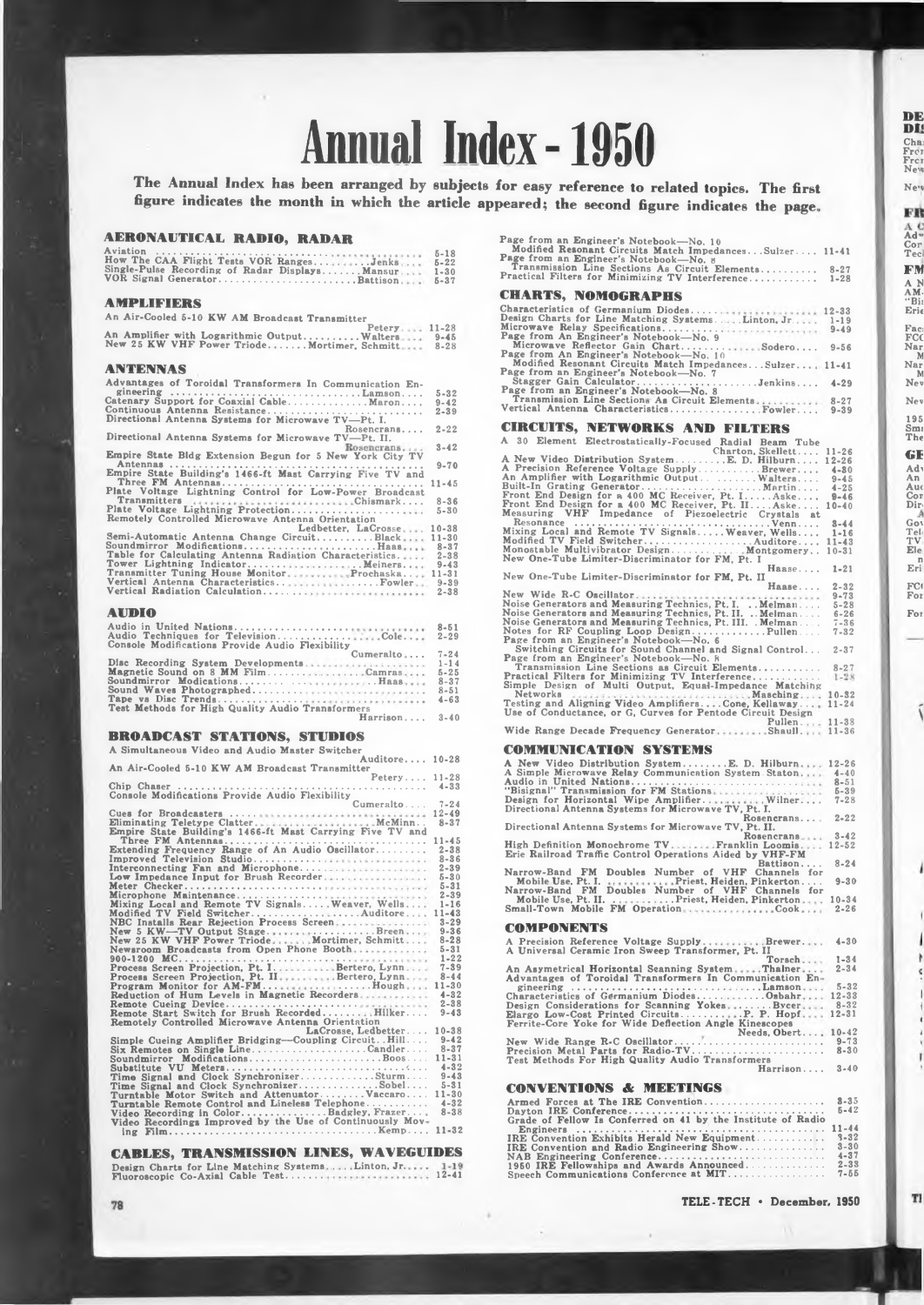# **Annual Index -1950**

**The Annual Index has been arranged by subjects for easy reference to related topics. The first figure indicates the month in which the article appeared; the second figure indicates the page.**

**3-40**

#### **AERONAUTICAL RADIO, RADAR**

| How The CAA Flight Tests VOR RangesJenks<br>Single-Pulse Recording of Radar DisplaysMansur<br>VOR Signal GeneratorBattison                                                                                                                                                                                | $5 - 18$<br>$5 - 22$<br>$1 - 30$<br>$5 - 37$ |
|-----------------------------------------------------------------------------------------------------------------------------------------------------------------------------------------------------------------------------------------------------------------------------------------------------------|----------------------------------------------|
| <b>AMPLIFIERS</b>                                                                                                                                                                                                                                                                                         |                                              |
| An Air-Cooled 5-10 KW AM Broadcast Transmitter<br>Petery 11-28<br>$\mathbf{A} = \mathbf{A}$ . The second contract of the second contract of the second contract of the second contract of the second contract of the second contract of the second contract of the second contract of the second contract |                                              |

# Petery<br>New 25 KW VHF Power Triode.......Walters<br>New 25 KW VHF Power Triode......Mortimer, Schmitt **11-28 9-45 8-28 ANTENNAS Advantages of Toroidal Transformers In Communication Engineering ......................................................................... Lamson. . . . Catenary Support for Coaxial Cable............................... Maron.... Continuous Antenna Resistance.............................................................. Directional Antenna Systems for Microwave TV—Pt. I. Rosencrans.... Directional Antenna Systems for Microwave TV—Pt. II. Empire State Bldg Extension Begun for <sup>5</sup> New York City TV 3-42** Antennas<br>
Empire State Building's 1466-ft Mast Carrying Five TV and<br>
Three FM Antennas.<br>
Plate Voltage Lightning Control for Low-Power Broadcast<br>
Plate Voltage Lightning Control for Low-Power Broadcast **5-32 9-42 2-39 2-22 9-70 11-45 Transmitters Chismark.... Plate Voltage Lightning Protection........................................... Remotely Controlled Microwave Antenna Orientation Ledbetter, LaCrosse Semi-Automatic Antenna Change Circuit......................Black Soundmirror Modifications....................................................Haas Table for Calculating Antenna Radiation Characteristics. 8-36 5-30** Tower Lightning Indicator.......<br>Transmitter Tuning House Monitor<br>Vertical Antenna Characteristics.<br>Vertical Radiation Calculation.... **. . . Meiners. . Prochaska.. ........Fowler 10-38 11-30 8-37 2-38 9-43 11-31 9-39 2-38 AUDIO Audio in United Nations.............................................. Audio Techniques for Television............................. Console Modifications Provide Audio Flexibility Cole. . 8-51 2-29** Disc Recording System Developments<br>Magnetic Sound on 8 MM Film...........<br>Soundmirror Modications.............<br>Sound Waves Photographed..............<br>Tape ys Disc Trends................ **Cumeralto .. . Camras , . . Haas Test Methods for High Quality Audio Transformers Harrison.... 7-24 1-14 5-25 8-37 8-51 4-63**

## **BROADCAST STATIONS, STUDIOS**

| A Simultaneous Video and Audio Master Switcher                                                        |           |
|-------------------------------------------------------------------------------------------------------|-----------|
| Auditore 10-28                                                                                        |           |
| An Air-Cooled 5-10 KW AM Broadcast Transmitter                                                        |           |
| Peters                                                                                                | $11 - 28$ |
|                                                                                                       | $4 - 33$  |
| Console Modifications Provide Audio Flexibility                                                       |           |
| Cumeralto                                                                                             | $7 - 24$  |
|                                                                                                       | $12 - 49$ |
|                                                                                                       | $8 - 37$  |
| Empire State Building's 1466-ft Mast Carrying Five TV and                                             |           |
|                                                                                                       | $11 - 45$ |
| Extending Frequency Range of An Audio Oscillator                                                      | $2 - 38$  |
| Improved Television Studio                                                                            | $8 - 36$  |
| Interconnecting Fan and Microphone                                                                    | $2 - 39$  |
| Low Impedance Input for Brush Recorder                                                                | $5 - 30$  |
|                                                                                                       | $5 - 31$  |
| Microphone Maintenance                                                                                | $2 - 39$  |
| Mixing Local and Remote TV Signals Weaver, Wells                                                      | $1 - 16$  |
| Modified TV Field SwitcherAuditore                                                                    | $11 - 43$ |
| NBC Installs Rear Rejection Process Screen                                                            | $3 - 29$  |
| New 5 KW-TV Output StageBreen                                                                         | $9 - 36$  |
| New 25 KW VHF Power TriodeMortimer. Schmitt                                                           | $8 - 28$  |
| Newsroom Broadcasts from Open Phone Booth                                                             | $5 - 31$  |
|                                                                                                       | $1 - 22$  |
| Process Screen Projection, Pt. I. Bertero, Lynn                                                       | $7 - 39$  |
| Process Screen Projection, Pt. II.  Bertero, Lynn                                                     | $8 - 44$  |
| Program Monitor for AM-FMBough                                                                        | $11 - 30$ |
| Reduction of Hum Levels in Magnetic Recorders.                                                        | $4 - 32$  |
|                                                                                                       | $2 - 38$  |
| Remote Start Switch for Brush Recorded Hilker                                                         | $9 - 43$  |
| Remotely Controlled Microwave Antenna Orientation                                                     |           |
| LaCrosse. Ledbetter                                                                                   | 10-38     |
| Simple Cueing Amplifier Bridging--Coupling Circuit. Hill                                              | $9 - 42$  |
| $\text{Six Remotes on Single Line} \ldots \ldots \ldots \ldots \ldots \text{.} \text{Candler} \ldots$ | $8 - 37$  |
| Soundmirror ModificationsBoos                                                                         | $11 - 31$ |
|                                                                                                       | $4 - 32$  |
| Time Signal and Clock SynchronizerSturm                                                               | $9 - 43$  |
| Time Signal and Clock SynchronizerSobel                                                               | $5 - 31$  |
| Turntable Motor Switch and Attenuator Vaccaro                                                         | $11 - 30$ |
| Turntable Remote Control and Lineless Telephone                                                       | $4 - 32$  |
| Video Recording in ColorBadgley, Frazer                                                               | $8 - 38$  |
| Video Recordings Improved by the Use of Continuously Mov-                                             |           |
|                                                                                                       | $11 - 32$ |
|                                                                                                       |           |

# **CABLES, TRANSMISSION LINES, WAVEGUIDES**

|  | Design Charts for Line Matching Systems |  | $\ldots$ . Linton, Jr.           | $1 - 19$  |
|--|-----------------------------------------|--|----------------------------------|-----------|
|  |                                         |  | Fluoroscopic Co-Axial Cable Test | $12 - 41$ |

| Page from an Engineer's Notebook-No. 10                                                                                                                                                                                          |                      |
|----------------------------------------------------------------------------------------------------------------------------------------------------------------------------------------------------------------------------------|----------------------|
| Modified Resonant Circuits Match ImpedancesSulzer 11-41<br>Page from an Engineer's Notebook-No. 8                                                                                                                                |                      |
| Transmission Line Sections As Circuit Elements<br>Practical Filters for Minimizing TV Interference                                                                                                                               | $8 - 27$<br>$1 - 28$ |
| <b>CHARTS, NOMOGRAPHS</b>                                                                                                                                                                                                        |                      |
|                                                                                                                                                                                                                                  |                      |
|                                                                                                                                                                                                                                  |                      |
| Microwave Relay Specifications 9-49                                                                                                                                                                                              |                      |
|                                                                                                                                                                                                                                  |                      |
|                                                                                                                                                                                                                                  |                      |
| Page from An Engineer's Notebook-No. 10                                                                                                                                                                                          |                      |
| Modified Resonant Circuits Match Impedances Sulzer 11-41                                                                                                                                                                         |                      |
|                                                                                                                                                                                                                                  |                      |
| Page from an Engineer's Notebook-No. 7                                                                                                                                                                                           |                      |
|                                                                                                                                                                                                                                  |                      |
|                                                                                                                                                                                                                                  |                      |
|                                                                                                                                                                                                                                  |                      |
|                                                                                                                                                                                                                                  |                      |
| <b>CIRCUITS, NETWORKS AND FILTERS</b>                                                                                                                                                                                            |                      |
| A<br>30<br>Element Electrostatically-Focused Radial Beam Tube                                                                                                                                                                    |                      |
| Charton, Skellett                                                                                                                                                                                                                | $11 - 26$            |
| A New Video Distribution SystemE. D. Hilburn                                                                                                                                                                                     | $12 - 26$            |
| A Precision Reference Voltage SupplyBrewer                                                                                                                                                                                       | $4 - 80$             |
| An Amplifier with Logarithmic Output<br>Four Lands of the Contract Contract Contract Contract Contract Contract Contract Contract Contract Contract Contract Contract Contract Contract Contract Contract Contract Contract Cont | $9 - 45$             |
|                                                                                                                                                                                                                                  | $4 - 25$             |
|                                                                                                                                                                                                                                  | $9 - 46$             |
|                                                                                                                                                                                                                                  | $10 - 40$            |
|                                                                                                                                                                                                                                  |                      |
|                                                                                                                                                                                                                                  | $8 - 44$             |
|                                                                                                                                                                                                                                  | $1 - 16$             |
|                                                                                                                                                                                                                                  | $11 - 43$            |
|                                                                                                                                                                                                                                  | $10 - 31$            |
|                                                                                                                                                                                                                                  |                      |
| Haase                                                                                                                                                                                                                            | $1 - 21$             |
| New One-Tube Limiter-Discriminator for FM, Pt. II                                                                                                                                                                                |                      |
| Нааве                                                                                                                                                                                                                            | $2 - 32$             |
|                                                                                                                                                                                                                                  | $9 - 73$             |
|                                                                                                                                                                                                                                  | $5 - 28$             |
|                                                                                                                                                                                                                                  | $6 - 26$             |
| Noise Generators and Measuring Technics, Pt. I. Melman<br>Noise Generators and Measuring Technics, Pt. II. Melman<br>Noise Generators and Measuring Technics, Pt. III. . Melman                                                  | $7 - 36$             |
| Notes for RF Coupling Loop DesignPullen                                                                                                                                                                                          | $7 - 32$             |
| Page from an Engineer's Notebook-No. 6                                                                                                                                                                                           |                      |
| Switching Circuits for Sound Channel and Signal Control 2-37                                                                                                                                                                     |                      |
|                                                                                                                                                                                                                                  |                      |
|                                                                                                                                                                                                                                  |                      |
|                                                                                                                                                                                                                                  |                      |
| Simple Design of Multi Output, Equal-Impedance Matching                                                                                                                                                                          |                      |
| Networks Administration of the Masching.                                                                                                                                                                                         |                      |
| Testing and Aligning Video AmplifiersCone, Kellaway 11-24                                                                                                                                                                        |                      |
| Use of Conductance, or G. Curves for Pentode Circuit Design                                                                                                                                                                      |                      |
| Pullen                                                                                                                                                                                                                           | $11 - 38$            |
| Wide Range Decade Frequency Generator Shaull 11-36                                                                                                                                                                               |                      |
| COMMUNICATION SYSTEMS                                                                                                                                                                                                            |                      |
|                                                                                                                                                                                                                                  |                      |
| A New Video Distribution SystemE. D. Hilburn 12-26                                                                                                                                                                               |                      |
| A Simple Microwave Relay Communication System Staton 4-40                                                                                                                                                                        |                      |
| Audio in United Nations                                                                                                                                                                                                          | $8 - 51$             |
|                                                                                                                                                                                                                                  | $5 - 39$<br>7-28     |
|                                                                                                                                                                                                                                  |                      |
|                                                                                                                                                                                                                                  |                      |
| Rosencrans 2-22                                                                                                                                                                                                                  |                      |
| Directional Antenna Systems for Microwave TV, Pt. II.                                                                                                                                                                            |                      |
| Rosencrans 3-42                                                                                                                                                                                                                  |                      |

**DE DI'**

**Chai Fror Frei New New**

**Ad" Cor Teel FM A N AM. "Bis Erie**

FŔ

**Faci FCC Nar N Nar M Nev**

**Nev 195 Sms The GE**

**Adi An Auc Cor Dir**

**Gov Teh TV Ele n Eri FC( For For**

Í

J

I

TI

Rosencrans<br>
Erie Railroad Traffic Control Operations Aided by VHF-FM<br>
Erie Railroad Traffic Control Operations Aided by VHF-FM<br>
Narrow-Band FM Doubles Number of VHF Channels for<br>
Mobile Use, Pt. I. ........................ **COMPONENTS A Precision Reference Voltage Supply A Universal Ceramic Iron Sweep Transformer, Pt. II An Asymetrical Horizontal Scanning System Brewer. Torsch Thalner Advantages of Toroidal Transformers In Communication En-3-42 12-52 8-24 9-30 10-34 2-26 4-30 1-34 2-34** gineering<br>Characteristics of Germanium Diodes.....<br>Design Considerations for Scanning Yokes<br>Elargo Low-Cost Printed Circuits......... **5-32 12-33 8-32 12-31**

**....Lamson ..........Osbahr ............Bvcer • P. P. Hopf Ferrite-Core Yoke for Wide Deflection Angle Kinescopes Needs, Obert... New Wide Range R-C Oscillator............................................................ Precision Metal Parts for Radio-TV..................................................... Test Methods For High Quality Audio Transformers Harrison. .. . 10-42 9-73 8-30 3-40**

# **CONVENTIONS & MEETINGS**

|                                                              | $5 - 42$ |
|--------------------------------------------------------------|----------|
| Grade of Fellow Is Conferred on 41 by the Institute of Radio |          |
|                                                              |          |
| IRE Convention Exhibits Herald New Equipment 3-32            |          |
|                                                              |          |
|                                                              |          |
| 1950 IRE Fellowships and Awards Announced 2-33               |          |
|                                                              |          |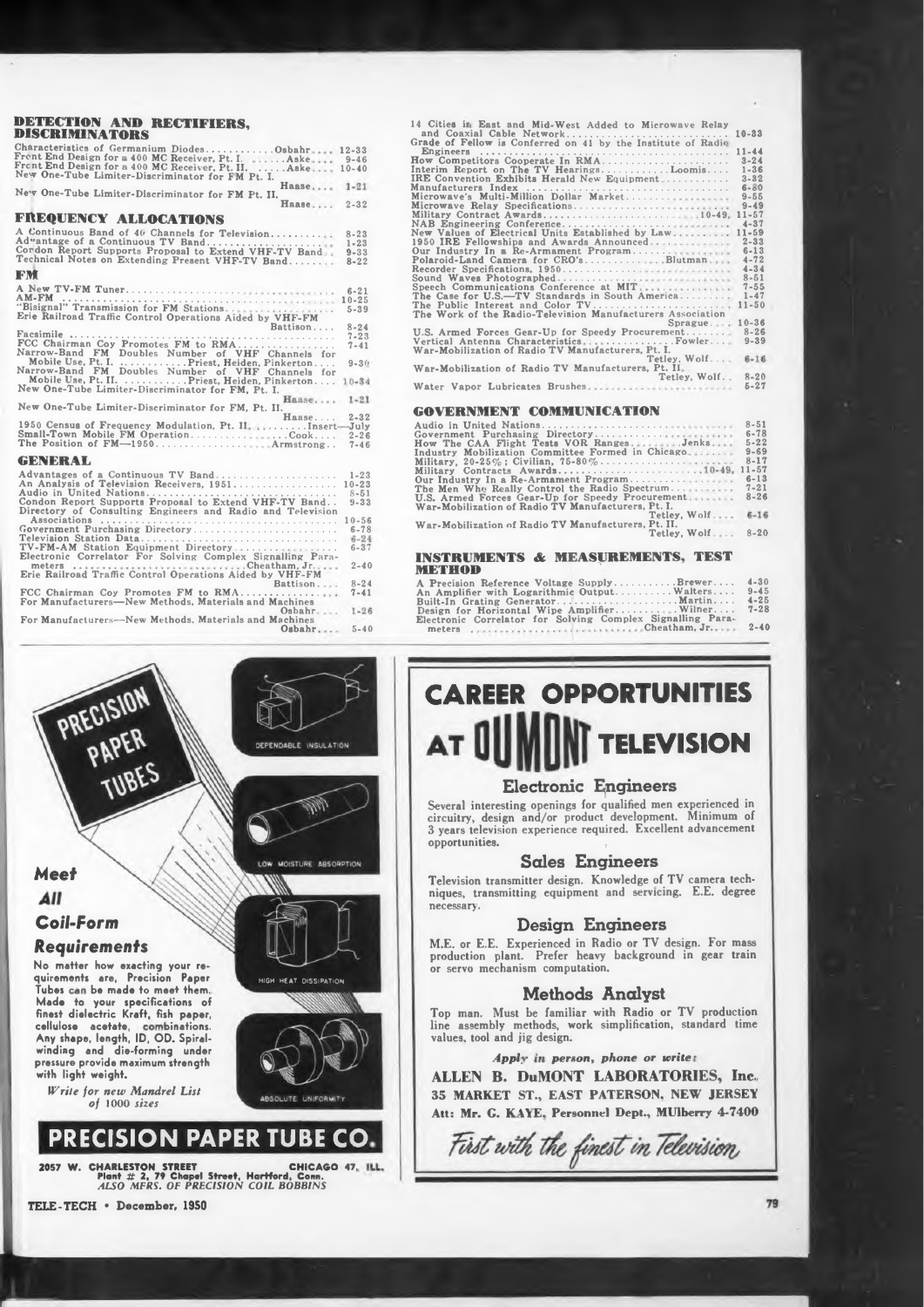#### **DETECTION AND RECTIFIERS, DISCRIMINATORS Characteristics of Germanium Diodes.........................**

| Characteristics of Germanium DiodesOsbahr                                                                 | $12 - 33$ |
|-----------------------------------------------------------------------------------------------------------|-----------|
| Frent End Design for a 400 MC Receiver, Pt. I.  Aske                                                      | $9 - 46$  |
| Frent End Design for a 400 MC Receiver, Pt. II.  Aske<br>New One-Tube Limiter-Discriminator for FM Pt. I. | $10 - 40$ |
| Haase<br>New One-Tube Limiter-Discriminator for FM Pt. II.                                                | $1 - 21$  |
| Наале                                                                                                     | $2 - 32$  |
| FREQUENCY ALLOCATIONS                                                                                     |           |
| A Continuous Band of 40 Channels for Television                                                           | $8 - 23$  |
| Advantage of a Continuous TV Band                                                                         | $1 - 23$  |
| Cordon Report Supports Proposal to Extend VHF-TV Band                                                     | $9 - 33$  |
| Technical Notes on Extending Present VHF-TV Band                                                          | $8 - 22$  |

# **9-3í> Narrow-Band FM Doubles Number of VHF Channels for Mobile Use, Pt. I...............................Priest, Heiden, Pinkerton. . . . Narrow-Band FM Doubles Number of VHF Channels for Mobile Use, Pt. II........................Priest, Heiden, Pinkerton. . . . New One-Tube Limiter-Discriminator for FM, Pt. I.** 1950 Census of Frequency Modulation, Pt. II<br>Small-Town Mobile FM Operation..........<br>The Position of FM—1950................. **8-24 7-23 7-41 2-32 -July 2-26 7-46 6-21 10-25 5-39 1-23 10-23 Advantages of a Continuous TV Band................................................ An Analysis of Television Receivers, 1951......................................... .............. Insert- ...Cook.... Armstrong. . GENERAL FM A New TV-FM Tuner.............................................. AM-FM ...................................................................................... "Bisignal" Transmission for FM Stations. . . ... Erie Railroad Traffic Control Operations Aided by VHF-FM Battison.... Facsimile ........................................................................................................... FCC Chairman Coy Promotes FM to RMA...................................... New One-Tube Limiter-Discriminator for FM, Pt. II.**

| An Analysis of Television Receivers, 1951                  | $10 - 23$ |
|------------------------------------------------------------|-----------|
| Audio in United Nations                                    | $8 - 51$  |
| Condon Report Supports Proposal to Extend VHF-TV Band      | $9 - 33$  |
| Directory of Consulting Engineers and Radio and Television |           |
|                                                            | $10 - 56$ |
| Government Purchasing Directory                            | $6 - 78$  |
| Television Station Data                                    | $6 - 24$  |
| TV-FM-AM Station Equipment Directory                       | $6 - 37$  |
| Electronic Correlator For Solving Complex Signalling Para- |           |
|                                                            | $2 - 40$  |
| Erie Railroad Traffic Control Operations Aided by VHF-FM   |           |
| Battison                                                   | $8 - 24$  |
| FCC Chairman Coy Promotes FM to RMA                        | $7 - 41$  |
| For Manufacturers-New Methods, Materials and Machines      |           |
| Oshahr                                                     | $1 - 26$  |
| For Manufacturers-New Methods, Materials and Machines      |           |
| $O$ sbahr                                                  | $5 - 40$  |
|                                                            |           |

# **10-33 10-49, Blutman Water Vapor Lubricates Brushes Microwave'<sup>s</sup> Multi-Million Dollar Market................. Microwave Relay Specifications...................................... Military Contract Awards.................................................... NAB Engineering Conference........................................... New Values of Electrical Units Established by Law 1950 IRE Fellowships and Awards Announced. . . Our Industry In Re-Armament Program.............. Polaroid-Land Camera for CRO's..................... Recorder Specifications, 1950............................. Sound Waves Photographed............................... Speech Communications Conference at MIT 8-20 5-27 10-36 8-26 9-39 11-44**<br> **13-24**<br> **1-36**<br> **6-66**<br> **9-65**<br> **11-57**<br> **14-34**<br> **11-50**<br> **11-50 14 Cities ir East and Mid-West Added to Microwave Relay and Coaxial Cable Network............................................................ Grade of Fellow is Conferred on 41 by the Institute of Radi<- Engineers .................................................................................................. .. How Competitors Cooperate In RMA.................................................. Interim Report on The TV Hearings............................Loomis. . . . IRE Convention Exhibits Herald New Equipment ........................ Manufacturers Index ....................................................... .......................... The Case for U.S.—TV Standards in South America................. The Public Interest and Color TV..................................................... The Work of the Radio-Television Manufacturers Association Sprague. . U.S. Armed Forces Gear-Up for Speedy Procurement.............. Vertical Antenna Characteristics ............................Fowler... War-Mobilization of Radio TV Manufacturers, Pt. I. Tetley. Wolf. . . War-Mobilization of Radio TV Manufacturers, Pt. Il Tetley, Wolf.**

# **Haase. . . . GOVERNMENT COMMUNICATION**

| Audio in United Nations                             | $8 - 51$ |
|-----------------------------------------------------|----------|
| Government Purchasing Directory                     | $6 - 78$ |
| How The CAA Flight Tests VOR RangesJenks            | $5 - 22$ |
| Industry Mobilization Committee Formed in Chicago   | $9 - 69$ |
|                                                     | $8 - 17$ |
| Military Contracts Awards10-49, 11-57               |          |
| Our Industry In a Re-Armament Program               | $6 - 13$ |
| The Men Who Really Control the Radio Spectrum       | $7 - 21$ |
| U.S. Armed Forces Gear-Up for Speedy Procurement    | $8 - 26$ |
| War-Mobilization of Radio TV Manufacturers. Pt. I.  |          |
| Tetley, Wolf                                        | $6 - 16$ |
| War-Mobilization of Radio TV Manufacturers, Pt. II. |          |
| Tetley, Wolf                                        | $8 - 20$ |
|                                                     |          |
|                                                     |          |

# **INSTRUMENTS & MEASUREMENTS, TEST METHOD A Precision Reference Voltage Supply.......................Brewer. .. .**

| $R - 24$ | A Precision Reference Voltage SupplyBrewer                 | $4 - 30$ |
|----------|------------------------------------------------------------|----------|
| $7 - 41$ | An Amplifier with Logarithmic Output Walters               | $9 - 45$ |
|          |                                                            | $4 - 25$ |
| $1 - 26$ | Design for Horizontal Wipe AmplifierWilner                 | $7 - 28$ |
|          | Electronic Correlator for Solving Complex Signalling Para- |          |
| $5 - 40$ |                                                            |          |
|          |                                                            |          |



*Write for new Mandrel List of* **1000** *sizes*

All

**PRECISION PAPER TUBE CO**

**CHICAGO 47, Plant # 2, <sup>79</sup> Chapel Street, Hartford, Conn.** *ALSO MFRS. OF PRECISION COIL BOBBINS* **2057 W. CHARLESTON STREET**

# **CAREER OPPORTUNITIES TELEVISION**

# Electronic Engineers

**Several interesting openings for qualified men experienced in circuitry, design and/or product development. Minimum of 3 years television experience required. Excellent advancement opportunities. ,**

# Sales Engineers

**necessary. Television transmitter design. Knowledge of TV camera techniques, transmitting equipment and servicing. E.E. degree**

**in gear train M.E. or E.E. Experienced in Radio or TV design. For mass production plant. Prefer heavy background or servo mechanism computation.**

Top man. Must be familiar with Radio or TV production **standard time line assembly methods, work simplification, values, tool and jig design.**

# *Appi, perton, phone or write*

**ALLEIN B. DuMONT LABORATORIES, Inc. Atts Mr. G. K\YE. Personnel Dept., MUlberry 4-7400 35 MARKET ST., EAST PATERSON. NEW JERSEY**

First with the finest in Television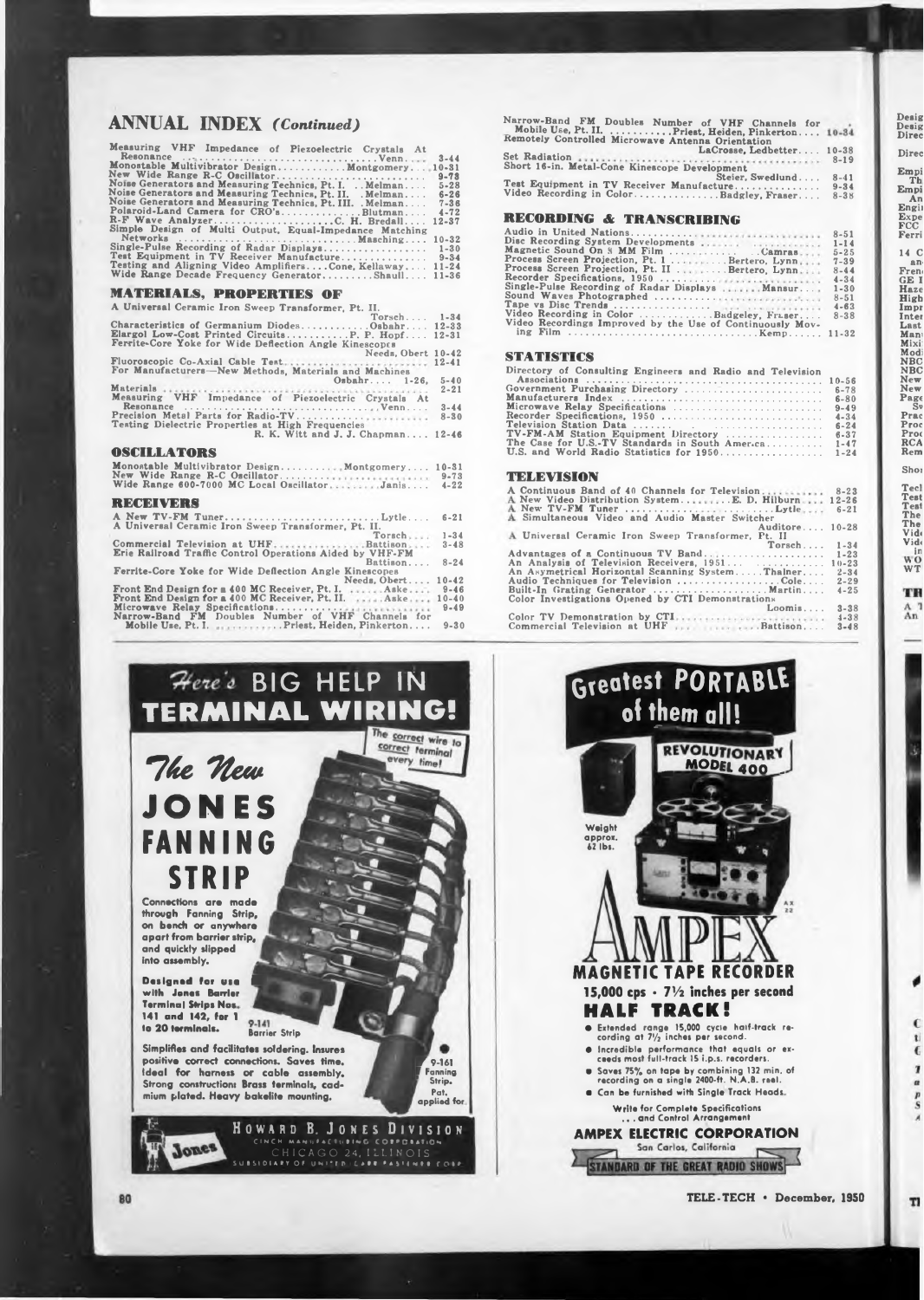# **ANNUAL INDEX** *(Continued)*

| Measuring VHF Impedance of Piezoelectric Crystals At<br>Monostable Multivibrator Design Montgomery 10-31<br>New Wide Range R-C Oscillator<br>Noise Generators and Measuring Technics, Pt. I.  Melman<br>Noise Generators and Measuring Technics, Pt. II. . Melman<br>Noise Generators and Measuring Technics, Pt. III. . Melman<br>Polaroid-Land Camera for CRO'sBlutman<br>R-F Wave AnalyzerC. H. Bredall<br>Simple Design of Multi Output, Equal-Impedance Matching<br>Single-Pulse Recording of Radar Displays<br>Test Equipment in TV Receiver Manufacture<br>Testing and Aligning Video AmplifiersCone, Kellaway<br>Wide Range Decade Frequency GeneratorShaull | $3 - 44$<br>$9 - 73$<br>$5 - 28$<br>$6 - 26$<br>$7 - 36$<br>$4 - 72$<br>$12 - 37$<br>$10 - 32$<br>$1 - 30$<br>$9 - 34$<br>$11 - 24$<br>$11 - 36$ |
|----------------------------------------------------------------------------------------------------------------------------------------------------------------------------------------------------------------------------------------------------------------------------------------------------------------------------------------------------------------------------------------------------------------------------------------------------------------------------------------------------------------------------------------------------------------------------------------------------------------------------------------------------------------------|--------------------------------------------------------------------------------------------------------------------------------------------------|
| <b>MATERIALS, PROPERTIES OF</b>                                                                                                                                                                                                                                                                                                                                                                                                                                                                                                                                                                                                                                      |                                                                                                                                                  |
| A Universal Ceramic Iron Sweep Transformer, Pt. II.                                                                                                                                                                                                                                                                                                                                                                                                                                                                                                                                                                                                                  |                                                                                                                                                  |
| Torsch. 1-34                                                                                                                                                                                                                                                                                                                                                                                                                                                                                                                                                                                                                                                         |                                                                                                                                                  |
| Characteristics of Germanium DiodesOsbahr 12-33                                                                                                                                                                                                                                                                                                                                                                                                                                                                                                                                                                                                                      |                                                                                                                                                  |
| Elargol Low-Cost Printed CircuitsP. P. Hopf 12-31<br>Ferrite-Core Yoke for Wide Deflection Angle Kinescopes                                                                                                                                                                                                                                                                                                                                                                                                                                                                                                                                                          |                                                                                                                                                  |
| Needs, Obert 10-42                                                                                                                                                                                                                                                                                                                                                                                                                                                                                                                                                                                                                                                   |                                                                                                                                                  |
| Fluoroscopic Co-Axial Cable Test<br>For Manufacturers-New Methods, Materials and Machines                                                                                                                                                                                                                                                                                                                                                                                                                                                                                                                                                                            | $12 - 41$                                                                                                                                        |
| $Osbahr 1-26.$                                                                                                                                                                                                                                                                                                                                                                                                                                                                                                                                                                                                                                                       | $5 - 40$                                                                                                                                         |
|                                                                                                                                                                                                                                                                                                                                                                                                                                                                                                                                                                                                                                                                      | $2 - 21$                                                                                                                                         |

**Measuring VHF impedance of Piezoelectric Crystals At Resonance .......................................................................... Precision Meta) Parts for Radio-TV.......................... Testing Dielectric Properties at High Frequencies Venn.... R. K. Witt and J. J. Chapman. . . . 3-44 8-30 12-46**

# **OSCILLATORS**

| Monostable Multivibrator Design Montgomery<br>New Wide Range R-C Oscillator<br>Wide Range 600-7000 MC Local OscillatorJanis | $10 - 31$<br>$9 - 73$<br>$4 - 22$ |
|-----------------------------------------------------------------------------------------------------------------------------|-----------------------------------|
|                                                                                                                             |                                   |
| A New TV-FM TunerLytle<br>A Universal Ceramic Iron Sweep Transformer, Pt. II.                                               | $6 - 21$                          |
| Torsch                                                                                                                      | $1 - 34$                          |
| Commercial Television at UHF. Battison<br><b>Erie Railroad Traffic Control Operations Aided by VHF-FM</b>                   | $3 - 48$                          |
| Battison                                                                                                                    | $8 - 24$                          |
| Ferrite-Core Yoke for Wide Deflection Angle Kinescopes                                                                      |                                   |
| Needs, Obert                                                                                                                | $10 - 42$                         |
| Front End Design for a 400 MC Receiver, Pt. I. Aske                                                                         | $9 - 46$                          |
| Front End Design for a 400 MC Receiver, Pt. II.  Aske                                                                       | $10 - 40$                         |
| Microwave Relay Specifications<br>Narrow-Band FM Doubles Number of VHF Channels for                                         | $9 - 49$                          |
| Mobile Use, Pt. I. Priest, Heiden, Pinkerton                                                                                | $9 - 30$                          |
|                                                                                                                             |                                   |



| Narrow-Band FM Doubles Number of VHF Channels for                                                        |           |
|----------------------------------------------------------------------------------------------------------|-----------|
| Mobile Use, Pt. II. Priest, Heiden, Pinkerton 10-34<br>Remotely Controlled Microwave Antenna Orientation |           |
| LaCrosse, Ledbetter                                                                                      | $10 - 38$ |
| Short 16-in. Metal-Cone Kinescope Development                                                            | $8 - 19$  |
| Steier. Swedlund                                                                                         | $8 - 41$  |
| Test Equipment in TV Receiver Manufacture                                                                | $9 - 34$  |
| Video Recording in ColorBadgley, Fraser                                                                  | $8 - 38$  |
| <b>RECORDING &amp; TRANSCRIBING</b>                                                                      |           |
|                                                                                                          | $8 - 51$  |
| Disc Recording System Developments                                                                       | $1 - 14$  |
| $M = 41 - 5 - 10 - 10 = 0$                                                                               |           |

|                                                           | 8-91     |
|-----------------------------------------------------------|----------|
| Disc Recording System Developments                        | $1 - 14$ |
| Magnetic Sound On 8 MM Film Camras                        | $5 - 25$ |
| Process Screen Projection, Pt. 1 Bertero, Lynn,           | $7 - 39$ |
| Process Screen Projection, Pt. II Bertero, Lynn           | $8 - 44$ |
| Recorder Specifications, 1950                             | $4 - 34$ |
| Single-Pulse Recording of Radar Displays  Mansur          | $1 - 30$ |
| Sound Waves Photographed                                  | $8 - 51$ |
|                                                           | $4 - 63$ |
| Video Recording in Color Badgeley, Fraser                 | $8 - 38$ |
| Video Recordings Improved by the Use of Continuously Mov- |          |
|                                                           |          |
|                                                           |          |

### **STATISTICS**

| Directory of Consulting Engineers and Radio and Television |           |
|------------------------------------------------------------|-----------|
|                                                            | $10 - 56$ |
| Government Purchasing Directory                            | $6 - 78$  |
|                                                            | $6 - 80$  |
| Microwave Relay Specifications                             | $9 - 49$  |
| Recorder Specifications, 1950                              | $4 - 34$  |
|                                                            | $6 - 24$  |
| TV-FM-AM Station Equipment Directory                       | $6 - 37$  |
| The Case for U.S.-TV Standards in South Amer.ca            | $1 - 47$  |
| U.S. and World Radio Statistics for 1950                   | $1 - 24$  |
| TELEVISION                                                 |           |
| A Continuous Band of 40 Channels for Television 8-23       |           |
| A New Video Distribution SystemE. D. Hilburn 12-26         |           |
| A Simultaneous Video and Audio Master Switcher             | $6 - 21$  |

|                                                                 | Auditore 10-28 |           |
|-----------------------------------------------------------------|----------------|-----------|
| A Universal Ceramic Iron Sweep Transformer, Pt. II              |                |           |
|                                                                 | $T$ orsch      | $1 - 34$  |
| Advantages of a Continuous TV Band                              |                | $1 - 23$  |
| An Analysis of Television Receivers, 1951                       |                | $10 - 23$ |
| An Asymetrical Horizontal Scanning SystemThalner                |                | $2 - 34$  |
| Audio Techniques for Television Cole                            |                | $2 - 29$  |
| Built-In Grating Generator Martin                               |                | $4 - 25$  |
| Color Investigations Opened by CTI Demonstrations               |                |           |
|                                                                 | $L$ oomis      | $3 - 38$  |
| Color TV Demonstration by CTI, and contract the contract of the |                | $4 - 38$  |
| Commercial Television at UHF  Battison                          |                | $3 - 48$  |
|                                                                 |                |           |



**TELE-TECH • December, 1950**

**Empi An Engii Expe FCC Ferri 14 C**

**Desig**

**High Impr Inter Last Mani Mixi: Modi NBC NBC New New Page Sv Prac Proc Pro< RCA Rem**

**Teel Test Test The The Vid< Vidi in WO WT**

**Shoi**

TR  $_{An}^{A}$ 

> $\epsilon$ 1.  $\overline{6}$  $\mathbf{Z}$  $\overline{a}$ p<br>S

TI